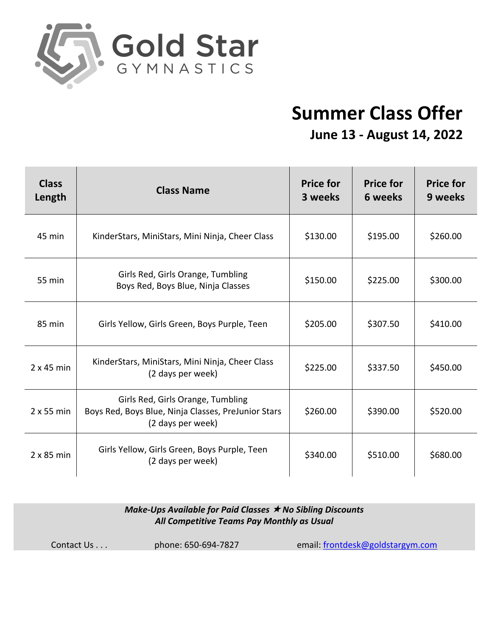

## **Summer Class Offer June 13 - August 14, 2022**

| <b>Class</b><br>Length | <b>Class Name</b>                                                                                             | <b>Price for</b><br>3 weeks | <b>Price for</b><br>6 weeks | <b>Price for</b><br>9 weeks |
|------------------------|---------------------------------------------------------------------------------------------------------------|-----------------------------|-----------------------------|-----------------------------|
| 45 min                 | KinderStars, MiniStars, Mini Ninja, Cheer Class                                                               | \$130.00                    | \$195.00                    | \$260.00                    |
| 55 min                 | Girls Red, Girls Orange, Tumbling<br>Boys Red, Boys Blue, Ninja Classes                                       | \$150.00                    | \$225.00                    | \$300.00                    |
| 85 min                 | Girls Yellow, Girls Green, Boys Purple, Teen                                                                  | \$205.00                    | \$307.50                    | \$410.00                    |
| $2 \times 45$ min      | KinderStars, MiniStars, Mini Ninja, Cheer Class<br>(2 days per week)                                          | \$225.00                    | \$337.50                    | \$450.00                    |
| 2 x 55 min             | Girls Red, Girls Orange, Tumbling<br>Boys Red, Boys Blue, Ninja Classes, PreJunior Stars<br>(2 days per week) | \$260.00                    | \$390.00                    | \$520.00                    |
| $2 \times 85$ min      | Girls Yellow, Girls Green, Boys Purple, Teen<br>(2 days per week)                                             | \$340.00                    | \$510.00                    | \$680.00                    |

## *Make-Ups Available for Paid Classes ★ No Sibling Discounts All Competitive Teams Pay Monthly as Usual*

Contact Us . . . phone: 650-694-7827 email: frontdesk@goldstargym.com